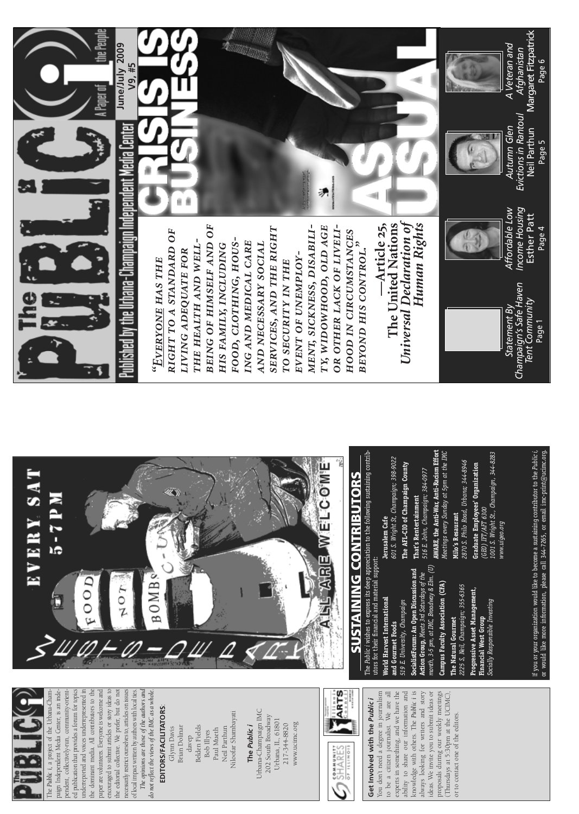# EDITORS/FACILITATORS: **EDITORS/FACILITATORS**:

Niloofar Shambayati Niloofar Shambayati **Brian Dolinar** Belden Fields Glynn Davis Brian Dolinar Belden Fields Neil Parthun Neil Parthun Glynn Davis Paul Mueth Paul Mueth Bob Illyes davep

### The Public i **The** *Public i*

Urbana-Champaign IMC Urbana-Champaign IMC 202 South Broadway 202 South Broadway Urbana, IL, 61801 Urbana, IL, 61801 217-344-8820 www.ucimc.org www.ucimc.org 217-344-8820





*The opinions are those of the authors and* The opinions are those of the authors and do not reflect the views of the IMC as a whole. *do not reflect the views of the IMC as a whole.*

knowledge with others. The Public i is experts in something, and we have the ability to share our information and ideas. We invite you to submit ideas or proposals during our weekly meetings<br>(Thursdays at 5:30pm at the UCIMC), You don't need a degree in journalism You don't need a degree in journalism to be a citizen journalist. We are all to be a citizen journalist. We are all experts in something, and we have the ability to share our information and knowledge with others. The *Public i* is always looking for writers and story always looking for writers and story ideas. We invite you to submit ideas or proposals during our weekly meetings (Thursdays at 5:30pm at the UCIMC), Get Involved with the Public i **Get Involved with the** *Public i* or to contact one of the editors. or to contact one of the editors.

anization would like to become a sustaining contributor to the Public i, iore information, please call 344-7265, or email imc-print@ucimc.org. If you or your organization would like to become a sustaining contributor to the *Public i,* or would like more information, please call 344-7265, or email imc-print@ucimc.org.

If you or your org<br>or would like mc

*month, 3-5 pm, at IMC, Broadway & Elm. (U)*  at IMC, Broadway & Elm. (U) An Open Discussion and **SocialistForum: An Open Discussion and** leets 3rd Saturdays of the **Action Group,** *Meets 3rd Saturdays of the* / Association (CFA) **Campus Faculty Association (CFA)** ampaign; 355-6365 *2225 S, Neil, Champaign; 355-6365* set Management, **Progressive Asset Management, World Harvest International**  ty, Champaign ible Investing *Socially Responsible Investing 519 E. University, Champaign* Group urmet **Financial West Group The Natural Gourmet** oods **and Gourmet Foods Financial West**<br>Socially Responsi The Natural Go 519 E. Universi SocialistForum Campus Facult **Progressive As** The Public i wi utors for their Action Group, 2225 S, Neil, C **World Harves** Gourmet month, 3-5 pm, and

601 S. Wright St, Champaign; 398-9022 *601 S. Wright St, Champaign; 398-9022* The AFL-CIO of Champaign County **The AFL-CIO of Champaign County**

**That's Rentertainment**<br>516 E. John, Champaign; 384-0977 **That's Rentertainment**

AWARE, the Anti-War, Anti-Racism Effort **AWARE, the Anti-War, Anti-Racism Effort** Meetings every Sunday at 5pm at the IMC *Meetings every Sunday at 5pm at the IMC 516 E. John, Champaign; 384-0977* 

2870 S. Philo Road, Urbana; 344-8946 *2870 S. Philo Road, Urbana; 344-8946* Milo's Resaurant **Milo's Resaurant**

1001 S. Wright St., Champaign, 344-8283 *1001 S. Wright St., Champaign, 344-8283* **Graduate Employees' Organization Graduate Employees' Organization** (GEO) IFT/AFT 6300 *(GEO) IFT/AFT 6300* www.uigeo.org *www.uigeo.org*

Income Housing<br>Esther Patt *Income Housing* Affordable Low *Affordable Low*

्<br>र *Evictions in Rantoul*  Autumn Glen *Autumn Glen*

Neil Parthun Page 5

*Afghanistan A Veteran and* Veteran and Evictions in Rantoul Neil Parthun



The *Public i,* a project of the Urbana-Champaign Independent Media Center, is an independent, collectively-run, community-orientpendent, collectively-run, community-oriented publication that provides a forum for topics ed publication that provides a forum for topics underreported and voices underrepresented in underreported and voices underrepresented in the dominant media. All contributors to the paper are volunteers. Everyone is welcome and encouraged to submit articles or story ideas to the editorial collective. We prefer, but do not necessarily restrict ourselves to, articles on issues paign Independent Media Center, is an indethe dominant media. All contributors to the paper are volunteers. Everyone is welcome and encouraged to submit articles or story ideas to the editorial collective. We prefer, but do not necessarily restrict ourselves to, articles on issues of local impact written by authors with local ties. of local impact written by authors with local ties. The Public i, a project of the Urbana-Cham

BEING OF HIMSELF AND OF MENT, SICKNESS, DISABILI-OR OTHER LACK OF LIVELI*being of himself and of* TY, WIDOWHOOD, OLD AGE *or other lack of liveliment, sickness, disabili-*SERVICES, AND THE RIGHT *services, and the right ty, widowhood, old age* RIGHT TO A STANDARD OF *right to a standard of* HOOD IN CIRCUMSTANCES *hood in circumstances* FOOD, CLOTHING, HOUS*food, clothing, hous-*THE HEALTH AND WELL*the health and well-*ING AND MEDICAL CARE *ing and medical care* BEYOND HIS CONTROL." *and necessary social* HIS FAMILY, INCLUDING AND NECESSARY SOCIAL *beyond his control." his family, including* LIVING ADEQUATE FOR *living adequate for* EVENT OF UNEMPLOY*event of unemployyone has the* TO SECURITY IN THE *to security in the r "Eve*

矛



Ĥ



*Statement By Champaign's Safe Haven Tent Community* Page 1

Statement By

Champaign's Safe Haven Tent Community



Esther Patt Page 4

Margaret Fitzpatrick Page 6



*Universal Declaration of Human Rights*Human Right's Article 25, The United Nations Universal Declaration of **—Article 25, The United Nations**

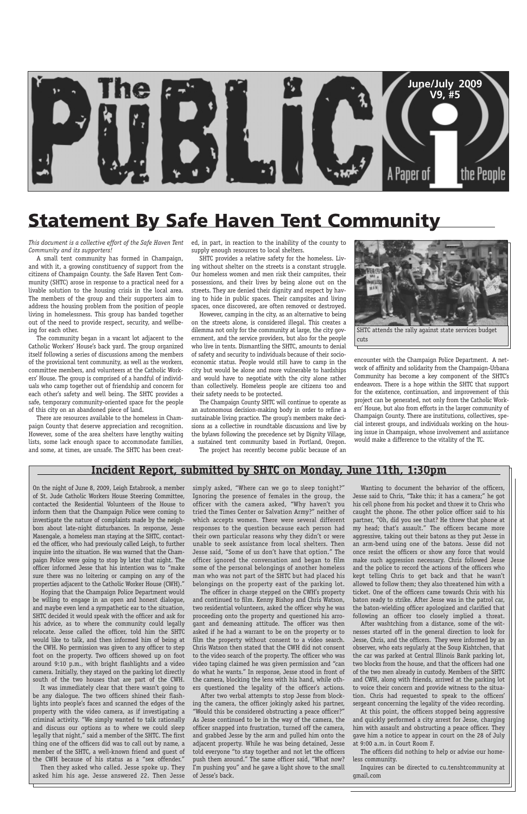

*This document is a collective effort of the Safe Haven Tent Community and its supporters!*

A small tent community has formed in Champaign, and with it, a growing constituency of support from the citizens of Champaign County. the Safe Haven Tent Community (SHTC) arose in response to a practical need for a livable solution to the housing crisis in the local area. The members of the group and their supporters aim to address the housing problem from the position of people living in homelessness. This group has banded together out of the need to provide respect, security, and wellbeing for each other.

The community began in a vacant lot adjacent to the Catholic Workers' House's back yard. The group organized itself following a series of discussions among the members of the provisional tent community, as well as the workers, committee members, and volunteers at the Catholic Workers' House. The group is comprised of a handful of individuals who camp together out of friendship and concern for each other's safety and well being. The SHTC provides a safe, temporary community-oriented space for the people of this city on an abandoned piece of land.

There are resources available to the homeless in Champaign County that deserve appreciation and recognition. However, some of the area shelters have lengthy waiting lists, some lack enough space to accommodate families, and some, at times, are unsafe. The SHTC has been created, in part, in reaction to the inability of the county to supply enough resources to local shelters.

SHTC provides a relative safety for the homeless. Living without shelter on the streets is a constant struggle. Our homeless women and men risk their campsites, their possessions, and their lives by being alone out on the streets. They are denied their dignity and respect by having to hide in public spaces. Their campsites and living spaces, once discovered, are often removed or destroyed.

However, camping in the city, as an alternative to being on the streets alone, is considered illegal. This creates a dilemma not only for the community at large, the city government, and the service providers, but also for the people who live in tents. Dismantling the SHTC, amounts to denial of safety and security to individuals because of their socioeconomic status. People would still have to camp in the city but would be alone and more vulnerable to hardships and would have to negotiate with the city alone rather than collectively. Homeless people are citizens too and their safety needs to be protected.

The Champaign County SHTC will continue to operate as an autonomous decision-making body in order to refine a sustainable living practice. The group's members make decisions as a collective in roundtable discussions and live by the bylaws following the precedence set by Dignity Village, a sustained tent community based in Portland, Oregon.

The project has recently become public because of an

encounter with the Champaign Police Department. A network of affinity and solidarity from the Champaign-Urbana Community has become a key component of the SHTC's endeavors. There is a hope within the SHTC that support for the existence, continuation, and improvement of this project can be generated, not only from the Catholic Workers' House, but also from efforts in the larger community of Champaign County. There are institutions, collectives, special interest groups, and individuals working on the housing issue in Champaign, whose involvement and assistance would make a difference to the vitality of the TC.

### **Statement By Safe Haven Tent Community**

On the night of June 8, 2009, Leigh Estabrook, a member of St. Jude Catholic Workers House Steering Committee, contacted the Residential Volunteers of the House to inform them that the Champaign Police were coming to investigate the nature of complaints made by the neighbors about late-night disturbances. In response, Jesse Masengale, a homeless man staying at the SHTC, contacted the officer, who had previously called Leigh, to further inquire into the situation. He was warned that the Champaign Police were going to stop by later that night. The officer informed Jesse that his intention was to "make sure there was no loitering or camping on any of the properties adjacent to the Catholic Worker House (CWH)."

Hoping that the Champaign Police Department would

be willing to engage in an open and honest dialogue, and maybe even lend a sympathetic ear to the situation, SHTC decided it would speak with the officer and ask for his advice, as to where the community could legally relocate. Jesse called the officer, told him the SHTC would like to talk, and then informed him of being at the CWH. No permission was given to any officer to step foot on the property. Two officers showed up on foot around 9:10 p.m., with bright flashlights and a video camera. Initially, they stayed on the parking lot directly south of the two houses that are part of the CWH.

It was immediately clear that there wasn't going to be any dialogue. The two officers shined their flashlights into people's faces and scanned the edges of the property with the video camera, as if investigating a criminal activity. "We simply wanted to talk rationally and discuss our options as to where we could sleep legally that night," said a member of the SHTC. The first thing one of the officers did was to call out by name, a member of the SHTC, a well-known friend and guest of the CWH because of his status as a "sex offender."

Then they asked who called. Jesse spoke up. They asked him his age. Jesse answered 22. Then Jesse simply asked, "Where can we go to sleep tonight?" Ignoring the presence of females in the group, the officer with the camera asked, "Why haven't you tried the Times Center or Salvation Army?" neither of which accepts women. There were several different responses to the question because each person had their own particular reasons why they didn't or were unable to seek assistance from local shelters. Then Jesse said, "Some of us don't have that option." The officer ignored the conversation and began to film some of the personal belongings of another homeless man who was not part of the SHTC but had placed his belongings on the property east of the parking lot.

The officer in charge stepped on the CWH's property

and continued to film. Kenny Bishop and Chris Watson, two residential volunteers, asked the officer why he was proceeding onto the property and questioned his arrogant and demeaning attitude. The officer was then asked if he had a warrant to be on the property or to film the property without consent to a video search. Chris Watson then stated that the CWH did not consent to the video search of the property. The officer who was video taping claimed he was given permission and "can do what he wants." In response, Jesse stood in front of the camera, blocking the lens with his hand, while others questioned the legality of the officer's actions.

After two verbal attempts to stop Jesse from blocking the camera, the officer jokingly asked his partner, "Would this be considered obstructing a peace officer?" As Jesse continued to be in the way of the camera, the officer snapped into frustration, turned off the camera, and grabbed Jesse by the arm and pulled him onto the adjacent property. While he was being detained, Jesse told everyone "to stay together and not let the officers push them around." The same officer said, "What now? I'm pushing you" and he gave a light shove to the small of Jesse's back.

Wanting to document the behavior of the officers, Jesse said to Chris, "Take this; it has a camera;" he got his cell phone from his pocket and threw it to Chris who caught the phone. The other police officer said to his partner, "Oh, did you see that? He threw that phone at my head; that's assault." The officers became more aggressive, taking out their batons as they put Jesse in an arm-bend using one of the batons. Jesse did not once resist the officers or show any force that would make such aggression necessary. Chris followed Jesse and the police to record the actions of the officers who kept telling Chris to get back and that he wasn't allowed to follow them; they also threatened him with a ticket. One of the officers came towards Chris with his baton ready to strike. After Jesse was in the patrol car, the baton-wielding officer apologized and clarified that following an officer too closely implied a threat. After washtching from a distance, some of the witnesses started off in the general direction to look for Jesse, Chris, and the officers. They were informed by an observer, who eats regularly at the Soup Kishtchen, that the car was parked at Central Illinois Bank parking lot, two blocks from the house, and that the officers had one of the two men already in custody. Members of the SHTC and CWH, along with friends, arrived at the parking lot to voice their concern and provide witness to the situation. Chris had requested to speak to the officers' sergeant concerning the legality of the video recording.

At this point, the officers stopped being aggressive and quickly performed a city arrest for Jesse, charging him with assault and obstructing a peace officer. They gave him a notice to appear in court on the 28 of July at 9:00 a.m. in Court Room F.

The officers did nothing to help or advise our homeless community.

Inquires can be directed to cu.tenshtcommunity at gmail.com

#### **Incident Report, submitted by SHTC on Monday, June 11th, 1:30pm**



SHTC attends the rally against state services budget cuts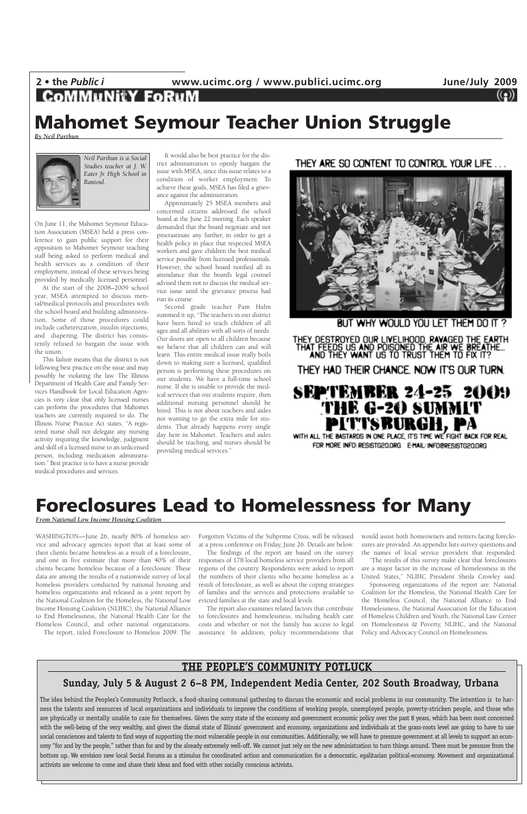2 • the *Public i* www.ucimc.org / www.publici.ucimc.org **June/July 2009**<br>**COMMUNITY FORUM** 

WASHINGTON—June 26, nearly 80% of homeless service and advocacy agencies report that at least some of their clients became homeless as a result of a foreclosure, and one in five estimate that more than 40% of their clients became homeless because of a foreclosure. These data are among the results of a nationwide survey of local homeless providers conducted by national housing and homeless organizations and released as a joint report by the National Coalition for the Homeless, the National Low Income Housing Coalition (NLIHC), the National Alliance to End Homelessness, the National Health Care for the Homeless Council, and other national organizations. The report, titled Foreclosure to Homeless 2009: The

Forgotten Victims of the Subprime Crisis, will be released at a press conference on Friday, June 26. Details are below.

The findings of the report are based on the survey responses of 178 local homeless service providers from all regions of the country. Respondents were asked to report the numbers of their clients who became homeless as a result of foreclosure, as well as about the coping strategies of families and the services and protections available to

evicted families at the state and local levels.

The report also examines related factors that contribute to foreclosures and homelessness, including health care costs and whether or not the family has access to legal assistance. In addition, policy recommendations that would assist both homeowners and renters facing foreclosures are provided. An appendix lists survey questions and the names of local service providers that responded.

"The results of this survey make clear that foreclosures are a major factor in the increase of homelessness in the United States," NLIHC President Sheila Crowley said.

Sponsoring organizations of the report are: National Coalition for the Homeless, the National Health Care for the Homeless Council, the National Alliance to End Homelessness, the National Association for the Education of Homeless Children and Youth, the National Law Center on Homelessness & Poverty, NLIHC, and the National Policy and Advocacy Council on Homelessness.

### **Foreclosures Lead to Homelessness for Many**

*From National Low Income Housing Coalition*

On June 11, the Mahomet Seymour Education Association (MSEA) held a press conference to gain public support for their opposition to Mahomet Seymour teaching staff being asked to perform medical and health services as a condition of their employment, instead of these services being provided by medically licensed personnel.

At the start of the 2008–2009 school year, MSEA attempted to discuss mental/medical protocols and procedures with the school board and building administration. Some of those procedures could include catheterization, insulin injections, and diapering. The district has consistently refused to bargain the issue with the union.

This failure means that the district is not following best practice on the issue and may possibly be violating the law. The Illinois Department of Health Care and Family Services Handbook for Local Education Agencies is very clear that only licensed nurses can perform the procedures that Mahomet teachers are currently required to do. The Illinois Nurse Practice Act states, "A registered nurse shall not delegate any nursing activity requiring the knowledge, judgment and skill of a licensed nurse to an unlicensed person, including medication administration." Best practice is to have a nurse provide medical procedures and services.

It would also be best practice for the district administration to openly bargain the issue with MSEA, since this issue relates to a condition of worker employment. To achieve these goals, MSEA has filed a grievance against the administration.

Approximately 25 MSEA members and concerned citizens addressed the school board at the June 22 meeting. Each speaker demanded that the board negotiate and not procrastinate any further, in order to get a health policy in place that respected MSEA workers and gave children the best medical service possible from licensed professionals. However, the school board notified all in attendance that the board's legal counsel advised them not to discuss the medical service issue until the grievance process had run its course.

Second grade teacher Pam Halm summed it up, "The teachers in our district have been hired to teach children of all ages and all abilities with all sorts of needs. Our doors are open to all children because we believe that all children can and will learn. This entire medical issue really boils down to making sure a licensed, qualified person is performing these procedures on our students. We have a full-time school nurse. If she is unable to provide the medical services that our students require, then additional nursing personnel should be hired. This is not about teachers and aides not wanting to go the extra mile for students. That already happens every single day here in Mahomet. Teachers and aides should be teaching, and nurses should be providing medical services."

THEY ARE SO CONTENT TO CONTROL YOUR LIFE ...



BUT WHY WOULD YOU LET THEM DO IT

THEY DESTROYED OUR LIVELIHOOD, RAVAGED THE EARTH<br>THAT FEEDS US AND POISONED THE AIR WE BREATHE...<br>AND THEY WANT US TO TRUST THEM TO FIX IT?

THEY HAD THEIR CHANCE. NOW IT'S OUR TURN.

## **SEPTEMBER 24-25 2009** THE G-20 SUMMIT<br>PITTSBURGH, PA

WITH ALL THE BASTARDS IN ONE PLACE, IT'S TIME WE FIGHT BACK FOR REAL FOR MORE INFO: RESISTG20.ORG E-MAIL: INFO@RESISTG20.ORG

### **Mahomet Seymour Teacher Union Struggle**

*By Neil Parthun*



*Neil Parthun is a Social Studies teacher at J. W. Eater Jr. High School in Rantoul.*

#### **THE PEOPLE'S COMMUNITY POTLUCK**

#### **Sunday, July 5 & August 2 6–8 PM, Independent Media Center, 202 South Broadway, Urbana**

The idea behind the Peoples's Community Potlucck, a food-sharing communal gathering to discuss the economic and social problems in our community. The intention is to harness the talents and resources of local organizations and individuals to improve the conditions of working people, unemployed people, poverty-stricken people, and those who are physically or mentally unable to care for themselves. Given the sorry state of the economy and government economic policy over the past 8 years, which has been most concerned with the well-being of the very wealthy, and given the dismal state of Illinois' government and economy, organizations and individuals at the grass-roots level are going to have to use social consciences and talents to find ways of supporting the most vulnerable people in our communities. Additionally, we will have to pressure government at all levels to support an economy "for and by the people," rather than for and by the already extremely well-off. We cannot just rely on the new administration to turn things around. There must be pressure from the bottom up. We envision new local Social Forums as a stimulus for coordinated action and communication for a democratic, egalitarian political-economy. Movement and organizational activists are welcome to come and share their ideas and food with other socially conscious activists.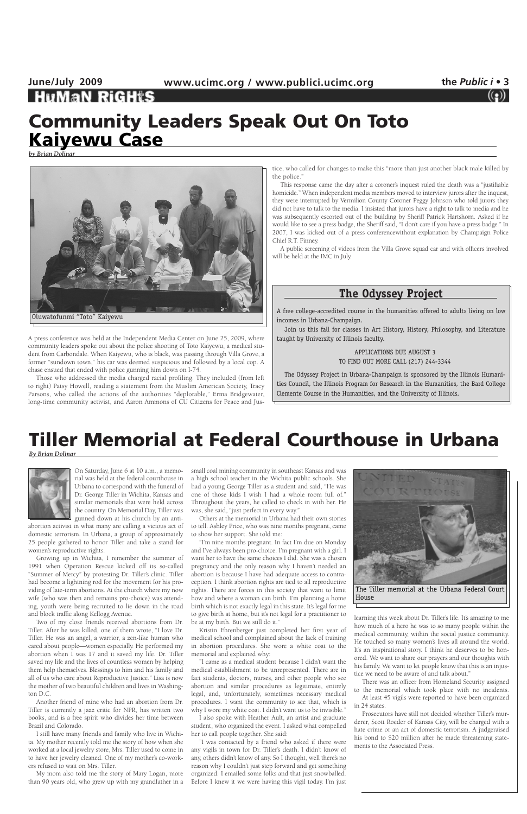## **June/July 2009 www.ucimc.org / www.publici.ucimc.org the** *Public i* **• 3**

A press conference was held at the Independent Media Center on June 25, 2009, where community leaders spoke out about the police shooting of Toto Kaiyewu, a medical student from Carbondale. When Kaiyewu, who is black, was passing through Villa Grove, a former "sundown town," his car was deemed suspicious and followed by a local cop. A chase ensued that ended with police gunning him down on I-74.

Those who addressed the media charged racial profiling. They included (from left to right) Patsy Howell, reading a statement from the Muslim American Society, Tracy Parsons, who called the actions of the authorities "deplorable," Erma Bridgewater, long-time community activist, and Aaron Ammons of CU Citizens for Peace and Jus-

tice, who called for changes to make this "more than just another black male killed by the police."

This response came the day after a coroner's inquest ruled the death was a "justifiable homicide." When independent media members moved to interview jurors after the inquest, they were interrupted by Vermilion County Coroner Peggy Johnson who told jurors they did not have to talk to the media. I insisted that jurors have a right to talk to media and he was subsequently escorted out of the building by Sheriff Patrick Hartshorn. Asked if he would like to see a press badge, the Sheriff said, "I don't care if you have a press badge." In 2007, I was kicked out of a press conferencewithout explanation by Champaign Police Chief R.T. Finney.

A public screening of videos from the Villa Grove squad car and with officers involved will be held at the IMC in July.

### **Community Leaders Speak Out On Toto Kaiyewu Case**

*by Brian Dolinar*

### **Tiller Memorial at Federal Courthouse in Urbana**

*By Brian Dolinar*



On Saturday, June 6 at 10 a.m., a memorial was held at the federal courthouse in Urbana to correspond with the funeral of Dr. George Tiller in Wichita, Kansas and similar memorials that were held across the country. On Memorial Day, Tiller was gunned down at his church by an anti-

abortion activist in what many are calling a vicious act of domestic terrorism. In Urbana, a group of approximately 25 people gathered to honor Tiller and take a stand for women's reproductive rights.

Growing up in Wichita, I remember the summer of 1991 when Operation Rescue kicked off its so-called "Summer of Mercy" by protesting Dr. Tiller's clinic. Tiller had become a lightning rod for the movement for his providing of late-term abortions. At the church where my now wife (who was then and remains pro-choice) was attending, youth were being recruited to lie down in the road and block traffic along Kellogg Avenue. Two of my close friends received abortions from Dr. Tiller. After he was killed, one of them wrote, "I love Dr. Tiller. He was an angel, a warrior, a zen-like human who cared about people—women especially. He performed my abortion when I was 17 and it saved my life. Dr. Tiller saved my life and the lives of countless women by helping them help themselves. Blessings to him and his family and all of us who care about Reproductive Justice." Lisa is now the mother of two beautiful children and lives in Washington D.C.

Another friend of mine who had an abortion from Dr. Tiller is currently a jazz critic for NPR, has written two books, and is a free spirit who divides her time between Brazil and Colorado.

I still have many friends and family who live in Wichita. My mother recently told me the story of how when she worked at a local jewelry store, Mrs. Tiller used to come in to have her jewelry cleaned. One of my mother's co-workers refused to wait on Mrs. Tiller.

My mom also told me the story of Mary Logan, more than 90 years old, who grew up with my grandfather in a

small coal mining community in southeast Kansas and was a high school teacher in the Wichita public schools. She had a young George Tiller as a student and said, "He was one of those kids I wish I had a whole room full of." Throughout the years, he called to check in with her. He was, she said, "just perfect in every way."

Others at the memorial in Urbana had their own stories to tell. Ashley Price, who was nine months pregnant, came to show her support. She told me:

"I'm nine months pregnant. In fact I'm due on Monday and I've always been pro-choice. I'm pregnant with a girl. I want her to have the same choices I did. She was a chosen pregnancy and the only reason why I haven't needed an abortion is because I have had adequate access to contraception. I think abortion rights are tied to all reproductive rights. There are forces in this society that want to limit how and where a woman can birth. I'm planning a home birth which is not exactly legal in this state. It's legal for me to give birth at home, but it's not legal for a practitioner to be at my birth. But we still do it." Kristin Ehrenberger just completed her first year of medical school and complained about the lack of training in abortion procedures. She wore a white coat to the memorial and explained why: "I came as a medical student because I didn't want the medical establishment to be unrepresented. There are in fact students, doctors, nurses, and other people who see abortion and similar procedures as legitimate, entirely legal, and, unfortunately, sometimes necessary medical procedures. I want the community to see that, which is why I wore my white coat. I didn't want us to be invisible." I also spoke with Heather Ault, an artist and graduate student, who organized the event. I asked what compelled her to call people together. She said: "I was contacted by a friend who asked if there were any vigils in town for Dr. Tiller's death. I didn't know of any, others didn't know of any. So I thought, well there's no reason why I couldn't just step forward and get something organized. I emailed some folks and that just snowballed. Before I knew it we were having this vigil today. I'm just

learning this week about Dr. Tiller's life. It's amazing to me how much of a hero he was to so many people within the medical community, within the social justice community. He touched so many women's lives all around the world. It's an inspirational story. I think he deserves to be honored. We want to share our prayers and our thoughts with his family. We want to let people know that this is an injustice we need to be aware of and talk about."

There was an officer from Homeland Security assigned to the memorial which took place with no incidents. At least 45 vigils were reported to have been organized in 24 states.

Prosecutors have still not decided whether Tiller's murderer, Scott Roeder of Kansas City, will be charged with a hate crime or an act of domestic terrorism. A judgeraised his bond to \$20 million after he made threatening statements to the Associated Press.





The Tiller memorial at the Urbana Federal Court House

### **The Odyssey Project**

A free college-accredited course in the humanities offered to adults living on low incomes in Urbana-Champaign.

Join us this fall for classes in Art History, History, Philosophy, and Literature taught by University of Illinois faculty.

> APPLICATIONS DUE AUGUST 3 TO FIND OUT MORE CALL (217) 244-3344

The Odyssey Project in Urbana-Champaign is sponsored by the Illinois Humanities Council, the Illinois Program for Research in the Humanities, the Bard College Clemente Course in the Humanities, and the University of Illinois.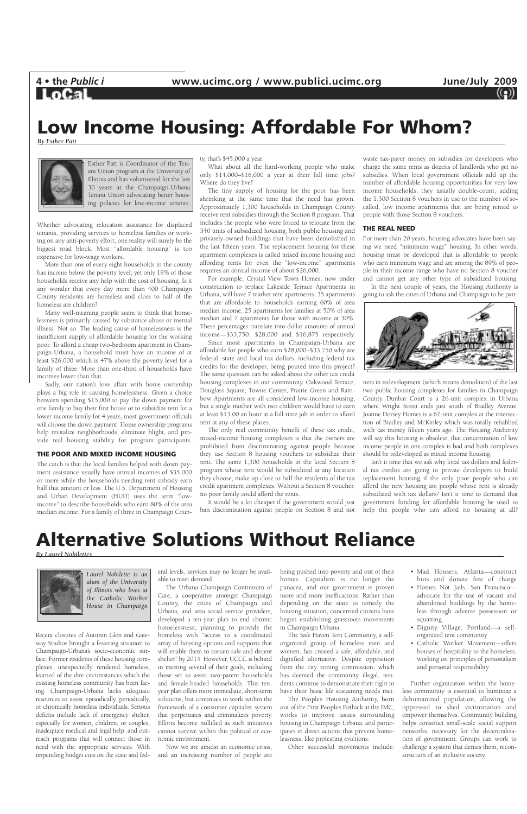

### **Alternative Solutions Without Reliance**

*By Laurel Nobilettes*

Recent closures of Autumn Glen and Gateway Studios brought a festering situation to Champaign-Urbana's socio-economic surface. Former residents of these housing complexes, unexpectedly rendered homeless, learned of the dire circumstances which the existing homeless community has been facing. Champaign-Urbana lacks adequate resources to assist episodically, periodically, or chronically homeless individuals. Serious deficits include lack of emergency shelter, especially for women, children, or couples, inadequate medical and legal help, and outreach programs that will connect those in need with the appropriate services. With impending budget cuts on the state and fed-

eral levels, services may no longer be available to meet demand.

The Urbana Champaign Continuum of Care, a cooperative amongst Champaign more and more inefficacious. Rather than County, the cities of Champaign and Urbana, and area social service providers, developed a ten-year plan to end chronic homelessness, planning to provide the homeless with "access to a coordinated array of housing options and supports that will enable them to sustain safe and decent shelter" by 2014. However, UCCC is behind in meeting several of their goals, including those set to assist two-parent households and female-headed households. This tenyear plan offers more immediate, short-term solutions, but continues to work within the framework of a consumer capitalist system that perpetuates and criminalizes poverty. Efforts become nullified as such initiatives cannot survive within this political or economic environment.

Now we are amidst an economic crisis, and an increasing number of people are being pushed into poverty and out of their homes. Capitalism is no longer the panacea, and our government is proven

depending on the state to remedy the housing situation, concerned citizens have begun establishing grassroots movements in Champaign Urbana.

The Safe Haven Tent Community, a selforganized group of homeless men and women, has created a safe, affordable, and dignified alternative. Despite opposition from the city zoning commission, which has deemed the community illegal, residents continue to demonstrate their right to have their basic life sustaining needs met.

The People's Housing Authority, born out of the First People's Potluck at the IMC, works to improve issues surrounding housing in Champaign Urbana, and participates in direct actions that prevent homelessness, like protesting evictions.

Other successful movements include:

- Mad Housers, Atlanta—construct huts and donate free of charge
- Homes Not Jails, San Francisco advocate for the use of vacant and

abandoned buildings by the homeless through adverse possession or squatting

- Dignity Village, Portland—a selforganized tent community
- Catholic Worker Movement—offers houses of hospitality to the homeless, working on principles of personalism and personal responsibility

Further organization within the homeless community is essential to huminize a dehumanized population, allowing the oppressed to shed victimization and empower themselves. Community building helps construct small-scale social support networks, necessary for the decentralization of government. Groups can work to challenge a system that denies them, reconstruction of an inclusive society.

### **Low Income Housing: Affordable For Whom?**

*By Esther Patt* 



Whether advocating relocation assistance for displaced tenants, providing services to homeless families or working on any anti-poverty effort, one reality will surely be the biggest road block. Most "affordable housing" is too expensive for low-wage workers.

More than one of every eight households in the county has income below the poverty level; yet only 19% of those households receive any help with the cost of housing. Is it any wonder that every day more than 400 Champaign County residents are homeless and close to half of the homeless are children?

Many well-meaning people seem to think that homelessness is primarily caused by substance abuse or mental illness. Not so. The leading cause of homelessness is the insufficient supply of affordable housing for the working poor. To afford a cheap two-bedroom apartment in Champaign-Urbana, a household must have an income of at least \$26,000 which is 47% above the poverty level for a family of three. More than one-third of households have incomes lower than that.

Sadly, our nation's love affair with home ownership plays a big role in causing homelessness. Given a choice between spending \$15,000 to pay the down payment for one family to buy their first house or to subsidize rent for a lower income family for 4 years, most government officials will choose the down payment. Home ownership programs help revitalize neighborhoods, eliminate blight, and provide real housing stability for program participants.

#### **THE POOR AND MIXED INCOME HOUSING**

The catch is that the local families helped with down payment assistance usually have annual incomes of \$35,000 or more while the households needing rent subsidy earn half that amount or less. The U.S. Department of Housing and Urban Development (HUD) uses the term "lowincome" to describe households who earn 80% of the area median income. For a family of three in Champaign County, that's \$45,000 a year.

What about all the hard-working people who make only \$14,000–\$16,000 a year at their full time jobs? Where do they live?

The tiny supply of housing for the poor has been shrinking at the same time that the need has grown. Approximately 1,300 households in Champaign County receive rent subsidies through the Section 8 program. That includes the people who were forced to relocate from the 340 units of subsidized housing, both public housing and privately-owned buildings that have been demolished in the last fifteen years. The replacement housing for these apartment complexes is called mixed income housing and affording rents for even the "low-income" apartments requires an annual income of about \$26,000.

For example, Crystal View Town Homes, now under construction to replace Lakeside Terrace Apartments in Urbana, will have 7 market rent apartments, 35 apartments that are affordable to households earning 60% of area median income, 25 apartments for families at 50% of area median and 7 apartments for those with income at 30%. These percentages translate into dollar amounts of annual income—\$33,750, \$28,000 and \$16,875 respectively.

Since most apartments in Champaign-Urbana are affordable for people who earn \$28,000–\$33,750 why are federal, state and local tax dollars, including federal tax credits for the developer, being poured into this project? The same question can be asked about the other tax credit housing complexes in our community. Oakwood Terrace, Douglass Square, Towne Center, Prairie Green and Rainbow Apartments are all considered low-income housing, but a single mother with two children would have to earn at least \$13.00 an hour at a full-time job in order to afford rent at any of these places.

The only real community benefit of these tax credit, mixed-income housing complexes is that the owners are prohibited from discriminating against people because they use Section 8 housing vouchers to subsidize their rent. The same 1,300 households in the local Section 8 program whose rent would be subsidized at any location they choose, make up close to half the residents of the tax credit apartment complexes. Without a Section 8 voucher, no poor family could afford the rents.

It would be a lot cheaper if the government would just ban discrimination against people on Section 8 and not

waste tax-payer money on subsidies for developers who charge the same rents as dozens of landlords who get no subsidies. When local government officials add up the number of affordable housing opportunities for very low income households, they usually double-count, adding the 1,300 Section 8 vouchers in use to the number of socalled, low income apartments that are being rented to people with those Section 8 vouchers.

#### **THE REAL NEED**

For more than 20 years, housing advocates have been saying we need "minimum wage" housing. In other words, housing must be developed that is affordable to people who earn minimum wage and are among the 89% of people in their income range who have no Section 8 voucher and cannot get any other type of subsidized housing.

In the next couple of years, the Housing Authority is going to ask the cities of Urbana and Champaign to be part-



ners in redevelopment (which means demolition) of the last two public housing complexes for families in Champaign County. Dunbar Court is a 26-unit complex in Urbana where Wright Street ends just south of Bradley Avenue. Joanne Dorsey Homes is a 67-unit complex at the intersection of Bradley and McKinley which was totally rehabbed with tax money fifteen years ago. The Housing Authority will say this housing is obsolete, that concentration of low income people in one complex is bad and both complexes should be redeveloped as mixed income housing.

Isn't it time that we ask why local tax dollars and federal tax credits are going to private developers to build replacement housing if the only poor people who can afford the new housing are people whose rent is already subsidized with tax dollars? Isn't it time to demand that government funding for affordable housing be used to help the people who can afford no housing at all?



Esther Patt is Coordinator of the Tenant Union program at the University of Illinois and has volunteered for the last 30 years at the Champaign-Urbana Tenant Union advocating better housing policies for low-income tenants.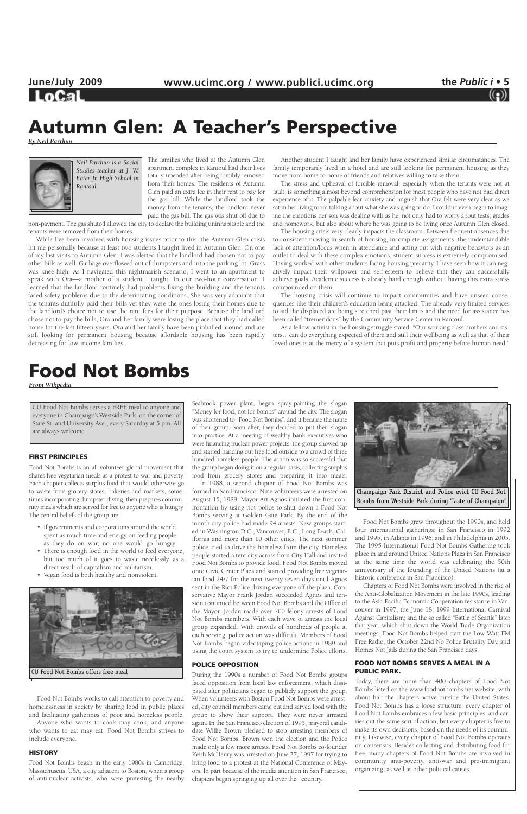LoCal

The families who lived at the Autumn Glen apartment complex in Rantoul had their lives totally upended after being forcibly removed from their homes. The residents of Autumn Glen paid an extra fee in their rent to pay for the gas bill. While the landlord took the money from the tenants, the landlord never paid the gas bill. The gas was shut off due to

non-payment. The gas shutoff allowed the city to declare the building uninhabitable and the tenants were removed from their homes.

While I've been involved with housing issues prior to this, the Autumn Glen crisis hit me personally because at least two students I taught lived in Autumn Glen. On one of my last visits to Autumn Glen, I was alerted that the landlord had chosen not to pay other bills as well. Garbage overflowed out of dumpsters and into the parking lot. Grass was knee-high. As I navigated this nightmarish scenario, I went to an apartment to speak with Ora—a mother of a student I taught. In our two-hour conversation, I learned that the landlord routinely had problems fixing the building and the tenants faced safety problems due to the deteriorating conditions. She was very adamant that the tenants dutifully paid their bills yet they were the ones losing their homes due to the landlord's choice not to use the rent fees for their purpose. Because the landlord chose not to pay the bills, Ora and her family were losing the place that they had called home for the last fifteen years. Ora and her family have been pinballed around and are still looking for permanent housing because affordable housing has been rapidly decreasing for low-income families.

Another student I taught and her family have experienced similar circumstances. The family temporarily lived in a hotel and are still looking for permanent housing as they move from home to home of friends and relatives willing to take them.

The stress and upheaval of forcible removal, especially when the tenants were not at fault, is something almost beyond comprehension for most people who have not had direct experience of it. The palpable fear, anxiety and anguish that Ora felt were very clear as we sat in her living room talking about what she was going to do. I couldn't even begin to imagine the emotions her son was dealing with as he, not only had to worry about tests, grades and homework, but also about where he was going to be living once Autumn Glen closed.

The housing crisis very clearly impacts the classroom. Between frequent absences due to consistent moving in search of housing, incomplete assignments, the understandable lack of attention/focus when in attendance and acting out with negative behaviors as an outlet to deal with these complex emotions, student success is extremely compromised. Having worked with other students facing housing precarity, I have seen how it can negatively impact their willpower and self-esteem to believe that they can successfully achieve goals. Academic success is already hard enough without having this extra stress compounded on them.

The housing crisis will continue to impact communities and have unseen consequences like their children's education being attacked. The already very limited services to aid the displaced are being stretched past their limits and the need for assistance has been called "tremendous" by the Community Service Center in Rantoul.

As a fellow activist in the housing struggle stated: "Our working class brothers and sisters…can do everything expected of them and still their wellbeing as well as that of their loved ones is at the mercy of a system that puts profit and property before human need."

### **Autumn Glen: A Teacher's Perspective**

*By Neil Parthun* 



#### **FIRST PRINCIPLES**

Food Not Bombs is an all-volunteer global movement that shares free vegetarian meals as a protest to war and poverty. Each chapter collects surplus food that would otherwise go to waste from grocery stores, bakeries and markets, sometimes incorporating dumpster diving, then prepares community meals which are served for free to anyone who is hungry. The central beliefs of the group are:

- If governments and corporations around the world spent as much time and energy on feeding people as they do on war, no one would go hungry.
- There is enough food in the world to feed everyone, but too much of it goes to waste needlessly, as a direct result of capitalism and militarism.
- Vegan food is both healthy and nonviolent.

Food Not Bombs works to call attention to poverty and homelessness in society by sharing food in public places and facilitating gatherings of poor and homeless people.

Anyone who wants to cook may cook, and anyone who wants to eat may eat. Food Not Bombs strives to include everyone.

#### **HISTORY**

Food Not Bombs began in the early 1980s in Cambridge, Massachusetts, USA, a city adjacent to Boston, when a group of anti-nuclear activists, who were protesting the nearby

Seabrook power plant, began spray-painting the slogan "Money for food, not for bombs" around the city. The slogan was shortened to "Food Not Bombs", and it became the name of their group. Soon after, they decided to put their slogan into practice. At a meeting of wealthy bank executives who were financing nuclear power projects, the group showed up and started handing out free food outside to a crowd of three hundred homeless people. The action was so successful that the group began doing it on a regular basis, collecting surplus food from grocery stores and preparing it into meals.

In 1988, a second chapter of Food Not Bombs was formed in San Francisco. Nine volunteers were arrested on August 15, 1988. Mayor Art Agnos initiated the first confrontation by using riot police to shut down a Food Not Bombs serving at Golden Gate Park. By the end of the month city police had made 94 arrests. New groups started in Washington D.C., Vancouver, B.C., Long Beach, California and more than 10 other cities. The next summer police tried to drive the homeless from the city. Homeless people started a tent city across from City Hall and invited Food Not Bombs to provide food. Food Not Bombs moved onto Civic Center Plaza and started providing free vegetarian food 24/7 for the next twenty seven days until Agnos sent in the Riot Police driving everyone off the plaza. Conservative Mayor Frank Jordan succeeded Agnos and tension continued between Food Not Bombs and the Office of the Mayor. Jordan made over 700 felony arrests of Food Not Bombs members. With each wave of arrests the local group expanded. With crowds of hundreds of people at each serving, police action was difficult. Members of Food Not Bombs began videotaping police actions in 1989 and using the court system to try to undermine Police efforts.

#### **POLICE OPPOSITION**

During the 1990s a number of Food Not Bombs groups faced opposition from local law enforcement, which dissipated after politicians began to publicly support the group. When volunteers with Boston Food Not Bombs were arrested, city council members came out and served food with the group to show their support. They were never arrested again. In the San Francisco election of 1995, mayoral candidate Willie Brown pledged to stop arresting members of Food Not Bombs. Brown won the election and the Police made only a few more arrests. Food Not Bombs co-founder Keith McHenry was arrested on June 27, 1997 for trying to bring food to a protest at the National Conference of Mayors. In part because of the media attention in San Francisco, chapters began springing up all over the. country.

Food Not Bombs grew throughout the 1990s, and held four international gatherings: in San Francisco in 1992 and 1995, in Atlanta in 1996, and in Philadelphia in 2005. The 1995 International Food Not Bombs Gathering took place in and around United Nations Plaza in San Francisco at the same time the world was celebrating the 50th anniversary of the founding of the United Nations (at a historic conference in San Francisco).

Chapters of Food Not Bombs were involved in the rise of the Anti-Globalization Movement in the late 1990s, leading to the Asia-Pacific Economic Cooperation resistance in Vancouver in 1997; the June 18, 1999 International Carnival Against Capitalism; and the so called "Battle of Seattle" later that year, which shut down the World Trade Organization meetings. Food Not Bombs helped start the Low Watt FM Free Radio, the October 22nd No Police Brutality Day, and Homes Not Jails during the San Francisco days.

#### **FOOD NOT BOMBS SERVES A MEAL IN A PUBLIC PARK.**

Today, there are more than 400 chapters of Food Not Bombs listed on the www.foodnotbombs.net website, with about half the chapters active outside the United States. Food Not Bombs has a loose structure: every chapter of Food Not Bombs embraces a few basic principles, and carries out the same sort of action, but every chapter is free to make its own decisions, based on the needs of its community. Likewise, every chapter of Food Not Bombs operates on consensus. Besides collecting and distributing food for free, many chapters of Food Not Bombs are involved in community anti-poverty, anti-war and pro-immigrant organizing, as well as other political causes.

### **Food Not Bombs**

*From Wikpedia*

CU Food Not Bombs serves a FREE meal to anyone and everyone in Champaign's Westside Park, on the corner of State St. and University Ave., every Saturday at 5 pm. All are always welcome.





*Neil Parthun is a Social Studies teacher at J. W. Eater Jr. High School in Rantoul.*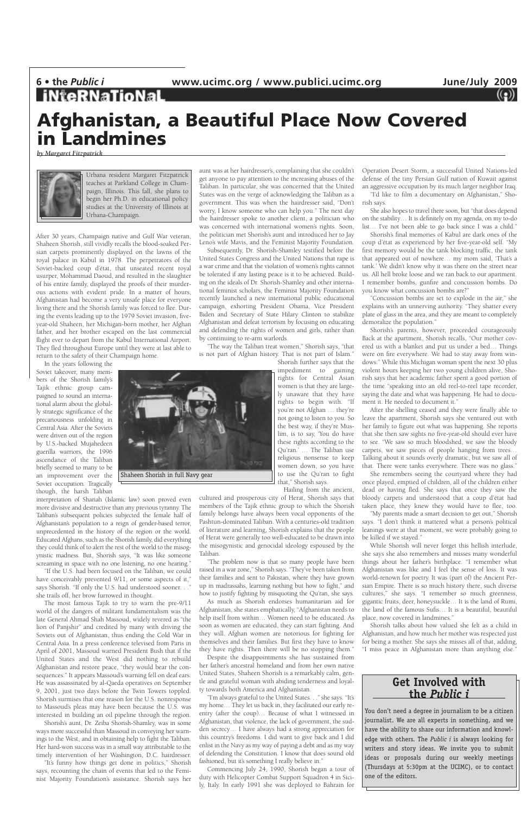### **Afghanistan, a Beautiful Place Now Covered in Landmines**

*by Margaret Fitzpatrick* 



After 30 years, Champaign native and Gulf War veteran, Shaheen Shorish, still vividly recalls the blood-soaked Persian carpets prominently displayed on the lawns of the royal palace in Kabul in 1978. The perpetrators of the Soviet-backed coup d'état, that unseated recent royal usurper, Mohammad Daoud, and resulted in the slaughter of his entire family, displayed the proofs of their murderous actions with evident pride. In a matter of hours, Afghanistan had become a very unsafe place for everyone living there and the Shorish family was forced to flee. During the events leading up to the 1979 Soviet invasion, fiveyear-old Shaheen, her Michigan-born mother, her Afghan father, and her brother escaped on the last commercial flight ever to depart from the Kabul International Airport. They fled throughout Europe until they were at last able to return to the safety of their Champaign home.

interpretation of Shariah (Islamic law) soon proved even more divisive and destructive than any previous tyranny. The Taliban's subsequent policies subjected the female half of Afghanistan's population to a reign of gender-based terror, unprecedented in the history of the region or the world. Educated Afghans, such as the Shorish family, did everything they could think of to alert the rest of the world to the misogynistic madness. But, Shorish says, "It was like someone screaming in space with no one listening, no one hearing.'

In the years following the Soviet takeover, many members of the Shorish family's Tajik ethnic group campaigned to sound an international alarm about the globally strategic significance of the precariousness unfolding in Central Asia. After the Soviets were driven out of the region by U.S.-backed Mujahedeen guerilla warriors, the 1996 ascendance of the Taliban briefly seemed to many to be an improvement over the Soviet occupation. Tragically though, the harsh Taliban

"If the U.S. had been focused on the Taliban, we could have conceivably prevented 9/11, or some aspects of it," says Shorish. "If only the U.S. had understood sooner. . ." she trails off, her brow furrowed in thought.

The most famous Tajik to try to warn the pre-9/11 world of the dangers of militant fundamentalism was the late General Ahmad Shah Massoud, widely revered as "the lion of Panjshir" and credited by many with driving the Soviets out of Afghanistan, thus ending the Cold War in Central Asia. In a press conference televised from Paris in April of 2001, Massoud warned President Bush that if the United States and the West did nothing to rebuild Afghanistan and restore peace, "they would bear the consequences." It appears Massoud's warning fell on deaf ears. He was assassinated by al-Qaeda operatives on September 9, 2001, just two days before the Twin Towers toppled. Shorish surmises that one reason for the U.S. nonresponse to Massoud's pleas may have been because the U.S. was interested in building an oil pipeline through the region.

Shorish's aunt, Dr. Zeiba Shorish-Shamley, was in some ways more successful than Massoud in conveying her warnings to the West, and in obtaining help to fight the Taliban. Her hard-won success was in a small way attributable to the timely intervention of her Washington, D.C. hairdresser.

"I'm always grateful to the United States. . ." she says. "It's my home… They let us back in, they facilitated our early reentry (after the coup)… Because of what I witnessed in Afghanistan, that violence, the lack of government, the sudden secrecy… I have always had a strong appreciation for this country's freedoms. I did want to give back and I did enlist in the Navy as my way of paying a debt and as my way of defending the Constitution. I know that does sound old fashioned, but it's something I really believe in."

"It's funny how things get done in politics," Shorish says, recounting the chain of events that led to the Feminist Majority Foundation's assistance. Shorish says her

aunt was at her hairdresser's, complaining that she couldn't get anyone to pay attention to the increasing abuses of the Taliban. In particular, she was concerned that the United States was on the verge of acknowledging the Taliban as a government. This was when the hairdresser said, "Don't worry, I know someone who can help you." The next day the hairdresser spoke to another client, a politician who was concerned with international women's rights. Soon, the politician met Shorish's aunt and introduced her to Jay Leno's wife Mavis, and the Feminist Majority Foundation.

Subsequently, Dr. Shorish-Shamley testified before the United States Congress and the United Nations that rape is a war crime and that the violation of women's rights cannot be tolerated if any lasting peace is it to be achieved. Building on the ideals of Dr. Shorish-Shamley and other international feminist scholars, the Feminist Majority Foundation recently launched a new international public educational campaign, exhorting President Obama, Vice President Biden and Secretary of State Hilary Clinton to stabilize Afghanistan and defeat terrorism by focusing on educating and defending the rights of women and girls, rather than by continuing to re-arm warlords.

"The way the Taliban treat women," Shorish says, "that is not part of Afghan history. That is not part of Islam."

Shorish further says that the impediment to gaining rights for Central Asian women is that they are largely unaware that they have rights to begin with. "If you're not Afghan … they're not going to listen to you. So the best way, if they're Muslim, is to say, 'You do have these rights according to the Qu'ran.' … The Taliban use religious nonsense to keep women down, so you have to use the Qu'ran to fight that," Shorish says.

Hailing from the ancient,

cultured and prosperous city of Herat, Shorish says that members of the Tajik ethnic group to which the Shorish family belongs have always been vocal opponents of the Pashtun-dominated Taliban. With a centuries-old tradition of literature and learning, Shorish explains that the people of Herat were generally too well-educated to be drawn into the misogynistic and genocidal ideology espoused by the Taliban.

"The problem now is that so many people have been raised in a war zone," Shorish says. "They've been taken from their families and sent to Pakistan, where they have grown up in madrassahs, learning nothing but how to fight," and how to justify fighting by misquoting the Qu'ran, she says.

As much as Shorish endorses humanitarian aid for Afghanistan, she states emphatically, "Afghanistan needs to help itself from within… Women need to be educated. As soon as women are educated, they can start fighting. And they will. Afghan women are notorious for fighting for themselves and their families. But first they have to know they have rights. Then there will be no stopping them." Despite the disappointments she has sustained from

her father's ancestral homeland and from her own native United States, Shaheen Shorish is a remarkably calm, gentle and grateful woman with abiding tenderness and loyalty towards both America and Afghanistan.

Commencing July 24, 1990, Shorish began a tour of duty with Helicopter Combat Support Squadron 4 in Sicily, Italy. In early 1991 she was deployed to Bahrain for Operation Desert Storm, a successful United Nations-led defense of the tiny Persian Gulf nation of Kuwait against an aggressive occupation by its much larger neighbor Iraq.

"I'd like to film a documentary on Afghanistan," Shorish says.

She also hopes to travel there soon, but "that does depend on the stability… It is definitely on my agenda, on my to-do list… I've not been able to go back since I was a child."

Shorish's final memories of Kabul are dark ones of the coup d'état as experienced by her five-year-old self. "My first memory would be the tank blocking traffic, the tank that appeared out of nowhere… my mom said, 'That's a tank.' We didn't know why it was there on the street near us. All hell broke loose and we ran back to our apartment. I remember bombs, gunfire and concussion bombs. Do you know what concussion bombs are?"

"Concussion bombs are set to explode in the air," she explains with an unnerving authority. "They shatter every plate of glass in the area, and they are meant to completely demoralize the population."

Shorish's parents, however, proceeded courageously. Back at the apartment, Shorish recalls, "Our mother covered us with a blanket and put us under a bed… Things were on fire everywhere. We had to stay away from windows." While this Michigan woman spent the next 30 plus violent hours keeping her two young children alive, Shorish says that her academic father spent a good portion of the time "speaking into an old reel-to-reel tape recorder, saying the date and what was happening. He had to document it. He needed to document it."

After the shelling ceased and they were finally able to leave the apartment, Shorish says she ventured out with her family to figure out what was happening. She reports that she then saw sights no five-year-old should ever have to see. "We saw so much bloodshed, we saw the bloody carpets, we saw pieces of people hanging from trees… Talking about it sounds overly dramatic, but we saw all of that. There were tanks everywhere. There was no glass."

She remembers seeing the courtyard where they had once played, emptied of children, all of the children either dead or having fled. She says that once they saw the bloody carpets and understood that a coup d'état had taken place, they knew they would have to flee, too.

"My parents made a smart decision to get out," Shorish says. "I don't think it mattered what a person's political leanings were at that moment, we were probably going to be killed if we stayed."

While Shorish will never forget this hellish interlude, she says she also remembers and misses many wonderful things about her father's birthplace. "I remember what Afghanistan was like and I feel the sense of loss. It was world-renown for poetry. It was (part of) the Ancient Persian Empire. There is so much history there, such diverse cultures," she says. "I remember so much greenness, gigantic fruits, deer, honeysuckle… It is the land of Rumi, the land of the famous Sufis… It is a beautiful, beautiful place, now covered in landmines." Shorish talks about how valued she felt as a child in Afghanistan, and how much her mother was respected just for being a mother. She says she misses all of that, adding, "I miss peace in Afghanistan more than anything else."



Urbana resident Margaret Fitzpatrick teaches at Parkland College in Champaign, Illinois. This fall, she plans to begin her Ph.D. in educational policy studies at the University of Illinois at Urbana-Champaign.

### **Get Involved with the** *Public i*

You don't need a degree in journalism to be a citizen journalist. We are all experts in something, and we have the ability to share our information and knowledge with others. The *Public i* is always looking for writers and story ideas. We invite you to submit ideas or proposals during our weekly meetings (Thursdays at 5:30pm at the UCIMC), or to contact one of the editors.